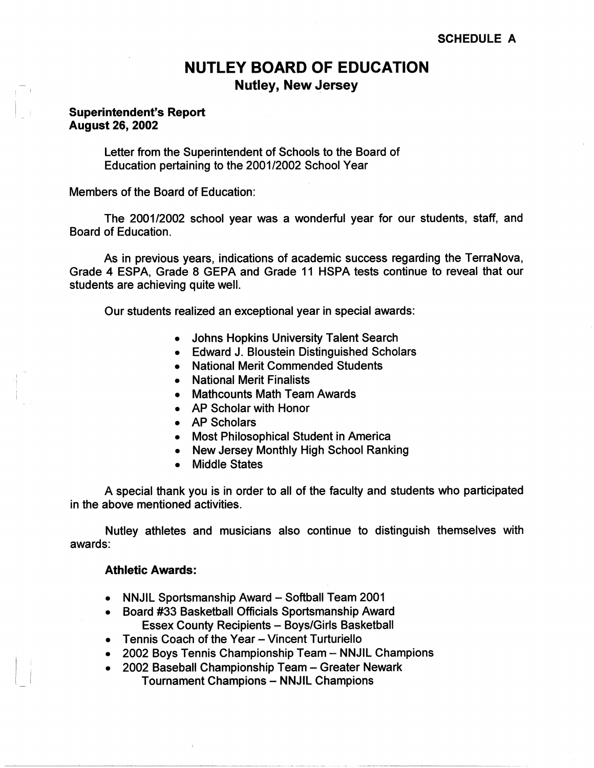# **NUTLEY BOARD OF EDUCATION Nutley, New Jersey**

## **Superintendent's Report August 26, 2002**

- I I

I

 $\Box$ 

Letter from the Superintendent of Schools to the Board of Education pertaining to the 2001/2002 School Year

Members of the Board of Education:

The 2001/2002 school year was a wonderful year for our students, staff, and Board of Education.

As in previous years, indications of academic success regarding the TerraNova, Grade 4 ESPA, Grade 8 GEPA and Grade 11 HSPA tests continue to reveal that our students are achieving quite well.

Our students realized an exceptional year in special awards:

- Johns Hopkins University Talent Search
- Edward J. Bloustein Distinguished Scholars
- National Merit Commended Students
- National Merit Finalists
- Mathcounts Math Team Awards
- AP Scholar with Honor
- AP Scholars
- Most Philosophical Student in America
- New Jersey Monthly High School Ranking
- Middle States

A special thank you is in order to all of the faculty and students who participated in the above mentioned activities.

Nutley athletes and musicians also continue to distinguish themselves with awards:

#### **Athletic Awards:**

- NNJIL Sportsmanship Award Softball Team 2001
- Board #33 Basketball Officials Sportsmanship Award Essex County Recipients - Boys/Girls Basketball
- Tennis Coach of the Year Vincent Turturiello
- 2002 Boys Tennis Championship Team NNJIL Champions
- 2002 Baseball Championship Team- Greater Newark Tournament Champions - NNJIL Champions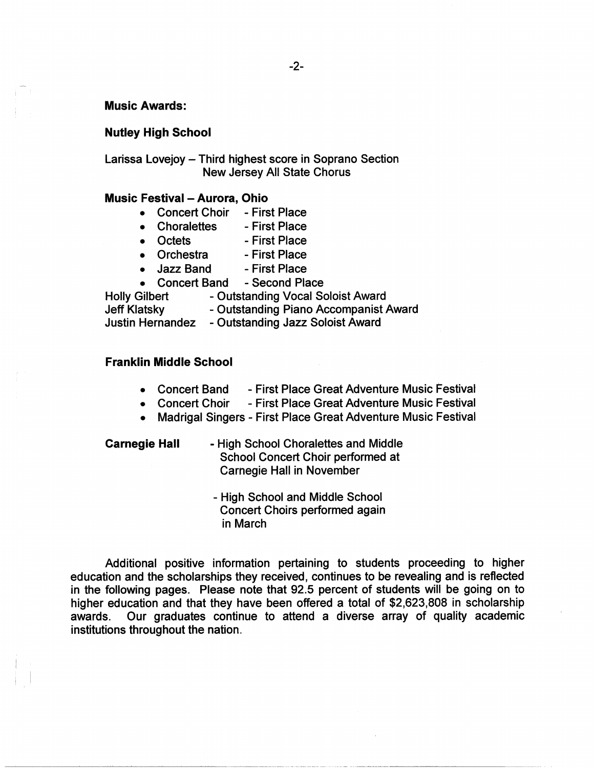-2-

#### **Music Awards:**

## **Nutley High School**

Larissa Lovejoy - Third highest score in Soprano Section New Jersey All State Chorus

### **Music Festival - Aurora, Ohio**

- Concert Choir First Place
- Choralettes First Place
- Octets First Place
- Orchestra First Place
- Jazz Band First Place
- Concert Band Second Place

Holly Gilbert - Outstanding Vocal Soloist Award

Jeff Klatsky **- Outstanding Piano Accompanist Award** 

Justin Hernandez - Outstanding Jazz Soloist Award

#### **Franklin Middle School**

- Concert Band First Place Great Adventure Music Festival
- Concert Choir First Place Great Adventure Music Festival
- Madrigal Singers First Place Great Adventure Music Festival

**Carnegie Hall** - High School Choralettes and Middle School Concert Choir performed at Carnegie Hall in November

> - High School and Middle School Concert Choirs performed again in March

Additional positive information pertaining to students proceeding to higher education and the scholarships they received, continues to be revealing and is reflected in the following pages. Please note that 92.5 percent of students will be going on to higher education and that they have been offered a total of \$2,623,808 in scholarship awards. Our graduates continue to attend a diverse array of quality academic institutions throughout the nation.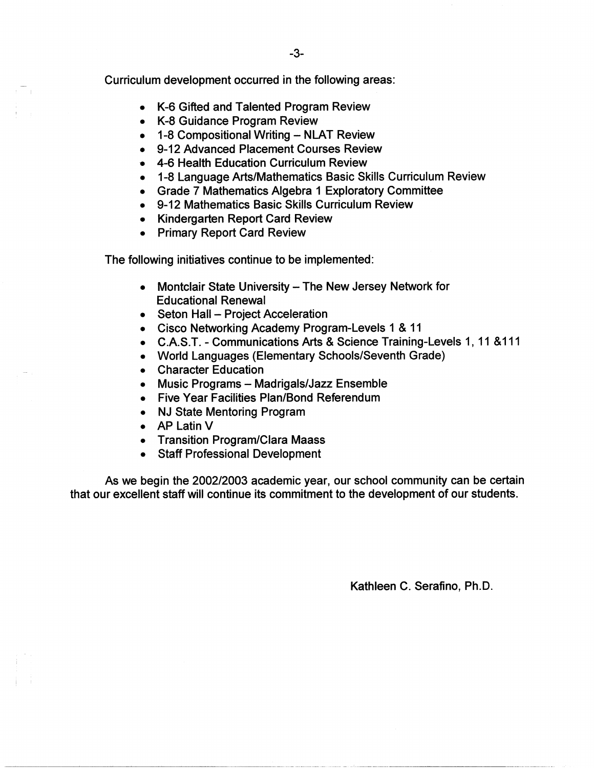Curriculum development occurred in the following areas:

- K-6 Gifted and Talented Program Review
- K-8 Guidance Program Review

 $\sqrt{2}$ 

- 1-8 Compositional Writing NLAT Review
- 9-12 Advanced Placement Courses Review
- 4-6 Health Education Curriculum Review
- 1-8 Language Arts/Mathematics Basic Skills Curriculum Review
- Grade 7 Mathematics Algebra 1 Exploratory Committee
- 9-12 Mathematics Basic Skills Curriculum Review
- Kindergarten Report Card Review
- Primary Report Card Review

The following initiatives continue to be implemented:

- Montclair State University The New Jersey Network for Educational Renewal
- Seton Hall Project Acceleration
- Cisco Networking Academy Program-Levels 1 & 11
- C.A.S.T. Communications Arts & Science Training-Levels 1, 11 &111
- World Languages (Elementary Schools/Seventh Grade)
- Character Education
- Music Programs Madrigals/Jazz Ensemble
- Five Year Facilities Plan/Bond Referendum
- NJ State Mentoring Program
- AP Latin V
- Transition Program/Clara Maass
- Staff Professional Development

As we begin the 2002/2003 academic year, our school community can be certain that our excellent staff will continue its commitment to the development of our students.

Kathleen C. Serafino, Ph.D.